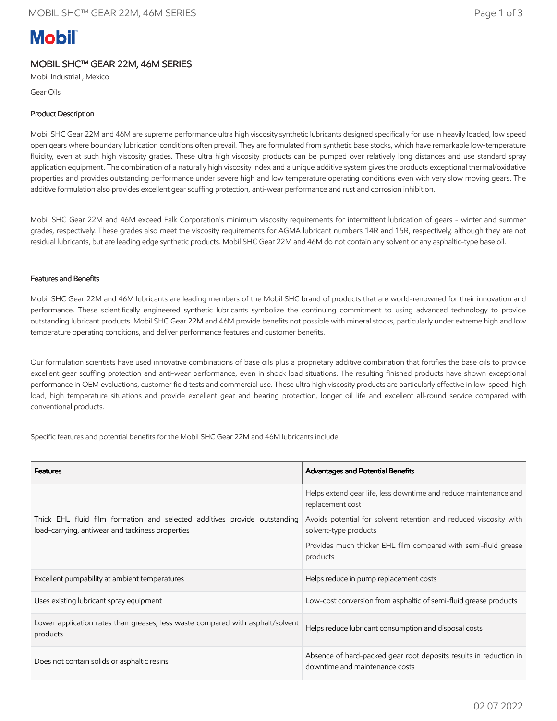# **Mobil**

## MOBIL SHC™ GEAR 22M, 46M SERIES

Mobil Industrial , Mexico

Gear Oils

## Product Description

Mobil SHC Gear 22M and 46M are supreme performance ultra high viscosity synthetic lubricants designed specifically for use in heavily loaded, low speed open gears where boundary lubrication conditions often prevail. They are formulated from synthetic base stocks, which have remarkable low-temperature fluidity, even at such high viscosity grades. These ultra high viscosity products can be pumped over relatively long distances and use standard spray application equipment. The combination of a naturally high viscosity index and a unique additive system gives the products exceptional thermal/oxidative properties and provides outstanding performance under severe high and low temperature operating conditions even with very slow moving gears. The additive formulation also provides excellent gear scuffing protection, anti-wear performance and rust and corrosion inhibition.

Mobil SHC Gear 22M and 46M exceed Falk Corporation's minimum viscosity requirements for intermittent lubrication of gears - winter and summer grades, respectively. These grades also meet the viscosity requirements for AGMA lubricant numbers 14R and 15R, respectively, although they are not residual lubricants, but are leading edge synthetic products. Mobil SHC Gear 22M and 46M do not contain any solvent or any asphaltic-type base oil.

## Features and Benefits

Mobil SHC Gear 22M and 46M lubricants are leading members of the Mobil SHC brand of products that are world-renowned for their innovation and performance. These scientifically engineered synthetic lubricants symbolize the continuing commitment to using advanced technology to provide outstanding lubricant products. Mobil SHC Gear 22M and 46M provide benefits not possible with mineral stocks, particularly under extreme high and low temperature operating conditions, and deliver performance features and customer benefits.

Our formulation scientists have used innovative combinations of base oils plus a proprietary additive combination that fortifies the base oils to provide excellent gear scuffing protection and anti-wear performance, even in shock load situations. The resulting finished products have shown exceptional performance in OEM evaluations, customer field tests and commercial use. These ultra high viscosity products are particularly effective in low-speed, high load, high temperature situations and provide excellent gear and bearing protection, longer oil life and excellent all-round service compared with conventional products.

Specific features and potential benefits for the Mobil SHC Gear 22M and 46M lubricants include:

| <b>Features</b>                                                                                                               | <b>Advantages and Potential Benefits</b>                                                            |  |
|-------------------------------------------------------------------------------------------------------------------------------|-----------------------------------------------------------------------------------------------------|--|
| Thick EHL fluid film formation and selected additives provide outstanding<br>load-carrying, antiwear and tackiness properties | Helps extend gear life, less downtime and reduce maintenance and<br>replacement cost                |  |
|                                                                                                                               | Avoids potential for solvent retention and reduced viscosity with<br>solvent-type products          |  |
|                                                                                                                               | Provides much thicker EHL film compared with semi-fluid grease<br>products                          |  |
| Excellent pumpability at ambient temperatures                                                                                 | Helps reduce in pump replacement costs                                                              |  |
| Uses existing lubricant spray equipment                                                                                       | Low-cost conversion from asphaltic of semi-fluid grease products                                    |  |
| Lower application rates than greases, less waste compared with asphalt/solvent<br>products                                    | Helps reduce lubricant consumption and disposal costs                                               |  |
| Does not contain solids or asphaltic resins                                                                                   | Absence of hard-packed gear root deposits results in reduction in<br>downtime and maintenance costs |  |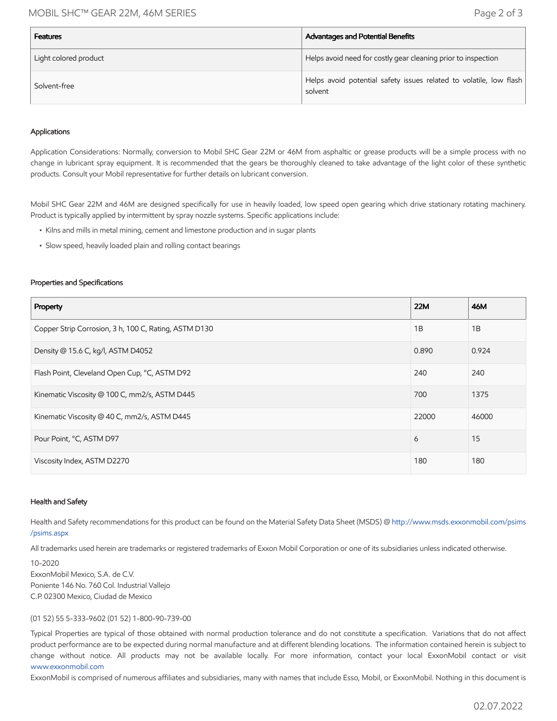## MOBIL SHC™ GEAR 22M, 46M SERIES Page 2 of 3

| <b>Features</b>       | Advantages and Potential Benefits                                             |
|-----------------------|-------------------------------------------------------------------------------|
| Light colored product | Helps avoid need for costly gear cleaning prior to inspection                 |
| Solvent-free          | Helps avoid potential safety issues related to volatile, low flash<br>solvent |

#### Applications

Application Considerations: Normally, conversion to Mobil SHC Gear 22M or 46M from asphaltic or grease products will be a simple process with no change in lubricant spray equipment. It is recommended that the gears be thoroughly cleaned to take advantage of the light color of these synthetic products. Consult your Mobil representative for further details on lubricant conversion.

Mobil SHC Gear 22M and 46M are designed specifically for use in heavily loaded, low speed open gearing which drive stationary rotating machinery. Product is typically applied by intermittent by spray nozzle systems. Specific applications include:

- Kilns and mills in metal mining, cement and limestone production and in sugar plants
- Slow speed, heavily loaded plain and rolling contact bearings

#### Properties and Specifications

| Property                                              | <b>22M</b> | 46M   |
|-------------------------------------------------------|------------|-------|
| Copper Strip Corrosion, 3 h, 100 C, Rating, ASTM D130 | 1B         | 1B    |
| Density @ 15.6 C, kg/l, ASTM D4052                    | 0.890      | 0.924 |
| Flash Point, Cleveland Open Cup, °C, ASTM D92         | 240        | 240   |
| Kinematic Viscosity @ 100 C, mm2/s, ASTM D445         | 700        | 1375  |
| Kinematic Viscosity @ 40 C, mm2/s, ASTM D445          | 22000      | 46000 |
| Pour Point, °C, ASTM D97                              | 6          | 15    |
| Viscosity Index, ASTM D2270                           | 180        | 180   |

#### Health and Safety

Health and Safety recommendations for this product can be found on the Material Safety Data Sheet (MSDS) @ [http://www.msds.exxonmobil.com/psims](http://www.msds.exxonmobil.com/psims/psims.aspx) /psims.aspx

All trademarks used herein are trademarks or registered trademarks of Exxon Mobil Corporation or one of its subsidiaries unless indicated otherwise.

10-2020 ExxonMobil Mexico, S.A. de C.V. Poniente 146 No. 760 Col. Industrial Vallejo C.P. 02300 Mexico, Ciudad de Mexico

### (01 52) 55 5-333-9602 (01 52) 1-800-90-739-00

Typical Properties are typical of those obtained with normal production tolerance and do not constitute a specification. Variations that do not affect product performance are to be expected during normal manufacture and at different blending locations. The information contained herein is subject to change without notice. All products may not be available locally. For more information, contact your local ExxonMobil contact or visit [www.exxonmobil.com](http://www.exxonmobil.com/)

ExxonMobil is comprised of numerous affiliates and subsidiaries, many with names that include Esso, Mobil, or ExxonMobil. Nothing in this document is